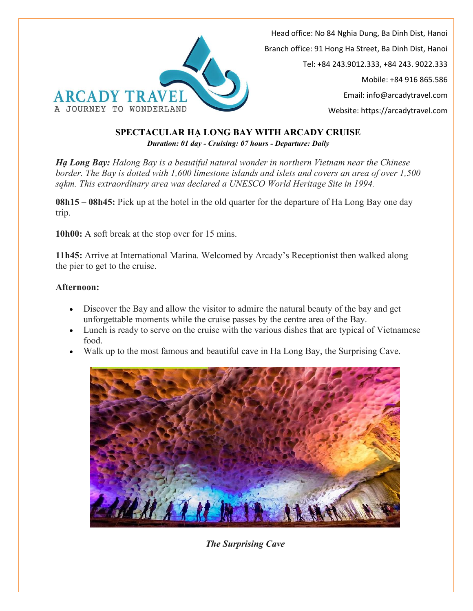

### **SPECTACULAR HẠ LONG BAY WITH ARCADY CRUISE** *Duration: 01 day - Cruising: 07 hours - Departure: Daily*

*Hạ Long Bay: Halong Bay is a beautiful natural wonder in northern Vietnam near the Chinese border. The Bay is dotted with 1,600 limestone islands and islets and covers an area of over 1,500 sqkm. This extraordinary area was declared a UNESCO World Heritage Site in 1994.*

**08h15 – 08h45:** Pick up at the hotel in the old quarter for the departure of Ha Long Bay one day trip.

**10h00:** A soft break at the stop over for 15 mins.

**11h45:** Arrive at International Marina. Welcomed by Arcady's Receptionist then walked along the pier to get to the cruise.

### **Afternoon:**

- Discover the Bay and allow the visitor to admire the natural beauty of the bay and get unforgettable moments while the cruise passes by the centre area of the Bay.
- Lunch is ready to serve on the cruise with the various dishes that are typical of Vietnamese food.
- Walk up to the most famous and beautiful cave in Ha Long Bay, the Surprising Cave.



*The Surprising Cave*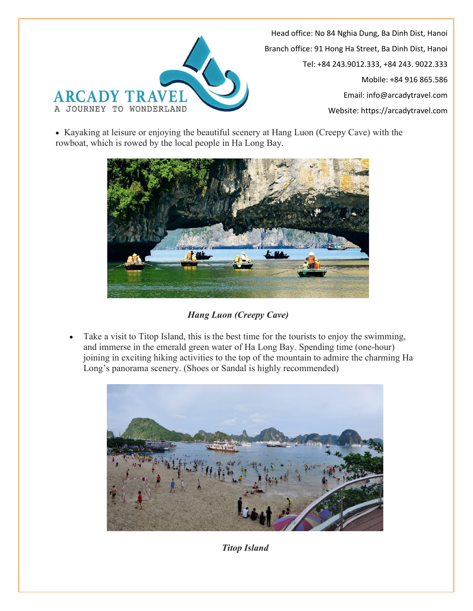

• Kayaking at leisure or enjoying the beautiful scenery at Hang Luon (Creepy Cave) with the rowboat, which is rowed by the local people in Ha Long Bay.



*Hang Luon (Creepy Cave)*

 Take a visit to Titop Island, this is the best time for the tourists to enjoy the swimming, and immerse in the emerald green water of Ha Long Bay. Spending time (one-hour) joining in exciting hiking activities to the top of the mountain to admire the charming Ha Long's panorama scenery. (Shoes or Sandal is highly recommended)



*Titop Island*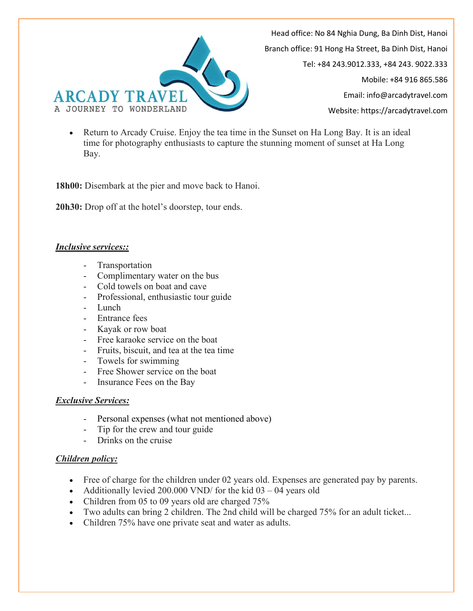

 Return to Arcady Cruise. Enjoy the tea time in the Sunset on Ha Long Bay. It is an ideal time for photography enthusiasts to capture the stunning moment of sunset at Ha Long Bay.

**18h00:** Disembark at the pier and move back to Hanoi.

**20h30:** Drop off at the hotel's doorstep, tour ends.

#### *Inclusive services::*

- Transportation
- Complimentary water on the bus
- Cold towels on boat and cave
- Professional, enthusiastic tour guide
- Lunch
- Entrance fees
- Kayak or row boat
- Free karaoke service on the boat
- Fruits, biscuit, and tea at the tea time
- Towels for swimming
- Free Shower service on the boat
- Insurance Fees on the Bay

#### *Exclusive Services:*

- Personal expenses (what not mentioned above)
- Tip for the crew and tour guide
- Drinks on the cruise

## *Children policy:*

- Free of charge for the children under 02 years old. Expenses are generated pay by parents.
- Additionally levied 200.000 VND/ for the kid  $03 04$  years old
- Children from 05 to 09 years old are charged 75%
- Two adults can bring 2 children. The 2nd child will be charged 75% for an adult ticket...
- Children 75% have one private seat and water as adults.